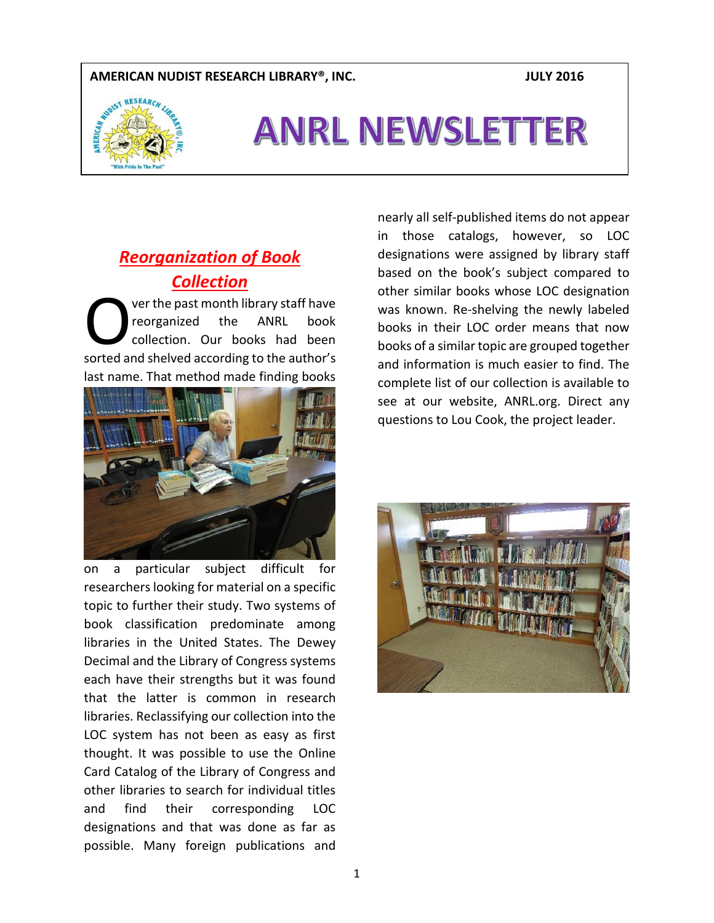#### **AMERICAN NUDIST RESEARCH LIBRARY®, INC. JULY 2016**



# ANRL NEWSLETTER

## *Reorganization of Book Collection*

ver the past month library staff have reorganized the ANRL book collection. Our books had been Ver the past month library staff have<br>
reorganized the ANRL book<br>
collection. Our books had been<br>
sorted and shelved according to the author's last name. That method made finding books



on a particular subject difficult for researchers looking for material on a specific topic to further their study. Two systems of book classification predominate among libraries in the United States. The Dewey Decimal and the Library of Congress systems each have their strengths but it was found that the latter is common in research libraries. Reclassifying our collection into the LOC system has not been as easy as first thought. It was possible to use the Online Card Catalog of the Library of Congress and other libraries to search for individual titles and find their corresponding LOC designations and that was done as far as possible. Many foreign publications and

nearly all self-published items do not appear in those catalogs, however, so LOC designations were assigned by library staff based on the book's subject compared to other similar books whose LOC designation was known. Re-shelving the newly labeled books in their LOC order means that now books of a similar topic are grouped together and information is much easier to find. The complete list of our collection is available to see at our website, ANRL.org. Direct any questions to Lou Cook, the project leader.

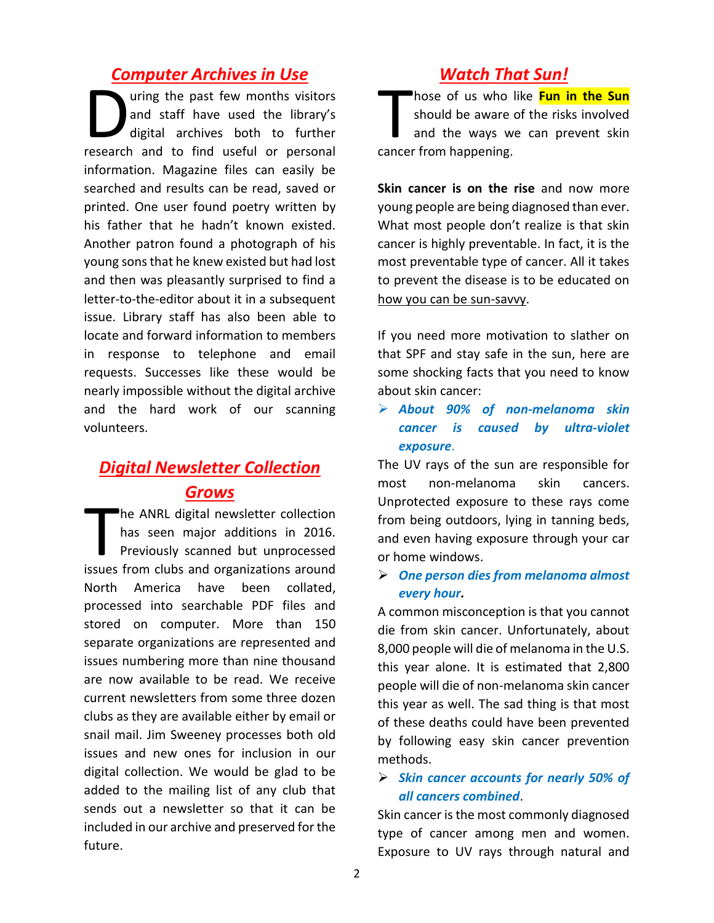## *Computer Archives in Use*

uring the past few months visitors and staff have used the library's digital archives both to further uring the past few months visitors<br>and staff have used the library's<br>digital archives both to further<br>research and to find useful or personal information. Magazine files can easily be searched and results can be read, saved or printed. One user found poetry written by his father that he hadn't known existed. Another patron found a photograph of his young sons that he knew existed but had lost and then was pleasantly surprised to find a letter-to-the-editor about it in a subsequent issue. Library staff has also been able to locate and forward information to members in response to telephone and email requests. Successes like these would be nearly impossible without the digital archive and the hard work of our scanning volunteers.

## *Digital Newsletter Collection Grows*

he ANRL digital newsletter collection has seen major additions in 2016. Previously scanned but unprocessed The ANRL digital newsletter collection<br>has seen major additions in 2016.<br>Previously scanned but unprocessed<br>issues from clubs and organizations around North America have been collated, processed into searchable PDF files and stored on computer. More than 150 separate organizations are represented and issues numbering more than nine thousand are now available to be read. We receive current newsletters from some three dozen clubs as they are available either by email or snail mail. Jim Sweeney processes both old issues and new ones for inclusion in our digital collection. We would be glad to be added to the mailing list of any club that sends out a newsletter so that it can be included in our archive and preserved for the future.

## *Watch That Sun!*

hose of us who like **Fun in the Sun** should be aware of the risks involved and the ways we can prevent skin hose of us who<br>should be aware<br>and the ways w<br>cancer from happening.

**Skin cancer is on the rise** and now more young people are being diagnosed than ever. What most people don't realize is that skin cancer is highly preventable. In fact, it is the most preventable type of cancer. All it takes to prevent the disease is to be educated on how you can be sun-savvy.

If you need more motivation to slather on that SPF and stay safe in the sun, here are some shocking facts that you need to know about skin cancer:

 *About 90% of non-melanoma skin cancer is caused by ultra-violet exposure*.

The UV rays of the sun are responsible for most non-melanoma skin cancers. Unprotected exposure to these rays come from being outdoors, lying in tanning beds, and even having exposure through your car or home windows.

 *One person dies from melanoma almost every hour.*

A common misconception is that you cannot die from skin cancer. Unfortunately, about 8,000 people will die of melanoma in the U.S. this year alone. It is estimated that 2,800 people will die of non-melanoma skin cancer this year as well. The sad thing is that most of these deaths could have been prevented by following easy skin cancer prevention methods.

### *Skin cancer accounts for nearly 50% of all cancers combined*.

Skin cancer is the most commonly diagnosed type of cancer among men and women. Exposure to UV rays through natural and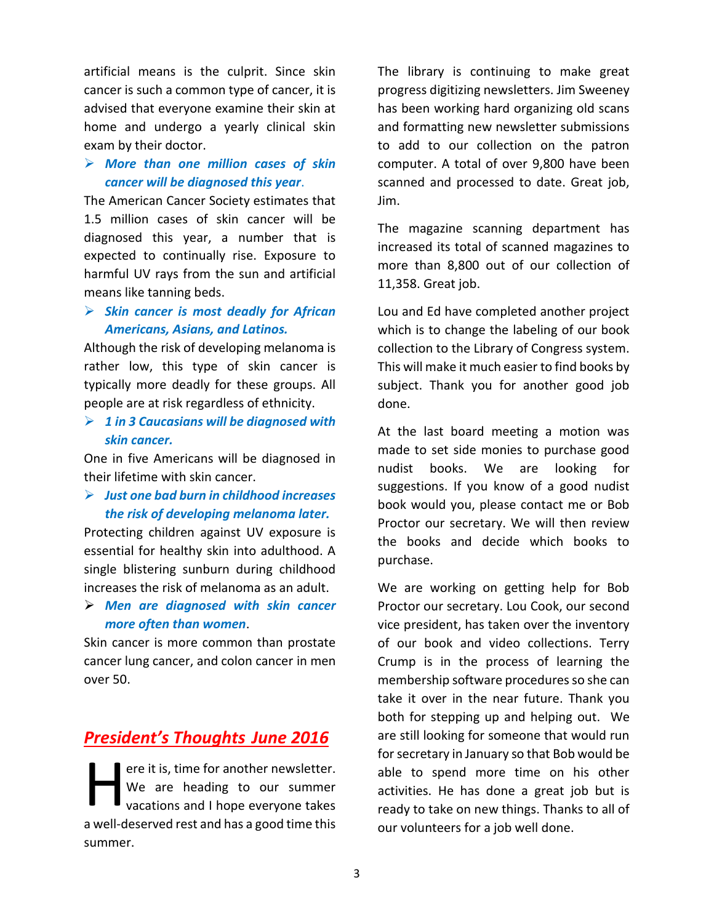artificial means is the culprit. Since skin cancer is such a common type of cancer, it is advised that everyone examine their skin at home and undergo a yearly clinical skin exam by their doctor.

#### *More than one million cases of skin cancer will be diagnosed this year*.

The American Cancer Society estimates that 1.5 million cases of skin cancer will be diagnosed this year, a number that is expected to continually rise. Exposure to harmful UV rays from the sun and artificial means like tanning beds.

### *Skin cancer is most deadly for African Americans, Asians, and Latinos.*

Although the risk of developing melanoma is rather low, this type of skin cancer is typically more deadly for these groups. All people are at risk regardless of ethnicity.

 *1 in 3 Caucasians will be diagnosed with skin cancer.*

One in five Americans will be diagnosed in their lifetime with skin cancer.

 *Just one bad burn in childhood increases the risk of developing melanoma later.*

Protecting children against UV exposure is essential for healthy skin into adulthood. A single blistering sunburn during childhood increases the risk of melanoma as an adult.

 *Men are diagnosed with skin cancer more often than women*.

Skin cancer is more common than prostate cancer lung cancer, and colon cancer in men over 50.

## *President's Thoughts June 2016*

ere it is, time for another newsletter. We are heading to our summer vacations and I hope everyone takes a well-deserved rest and has a good time this summer.  $\prod_{\text{min}}$ 

The library is continuing to make great progress digitizing newsletters. Jim Sweeney has been working hard organizing old scans and formatting new newsletter submissions to add to our collection on the patron computer. A total of over 9,800 have been scanned and processed to date. Great job, Jim.

The magazine scanning department has increased its total of scanned magazines to more than 8,800 out of our collection of 11,358. Great job.

Lou and Ed have completed another project which is to change the labeling of our book collection to the Library of Congress system. This will make it much easier to find books by subject. Thank you for another good job done.

At the last board meeting a motion was made to set side monies to purchase good nudist books. We are looking for suggestions. If you know of a good nudist book would you, please contact me or Bob Proctor our secretary. We will then review the books and decide which books to purchase.

We are working on getting help for Bob Proctor our secretary. Lou Cook, our second vice president, has taken over the inventory of our book and video collections. Terry Crump is in the process of learning the membership software procedures so she can take it over in the near future. Thank you both for stepping up and helping out. We are still looking for someone that would run for secretary in January so that Bob would be able to spend more time on his other activities. He has done a great job but is ready to take on new things. Thanks to all of our volunteers for a job well done.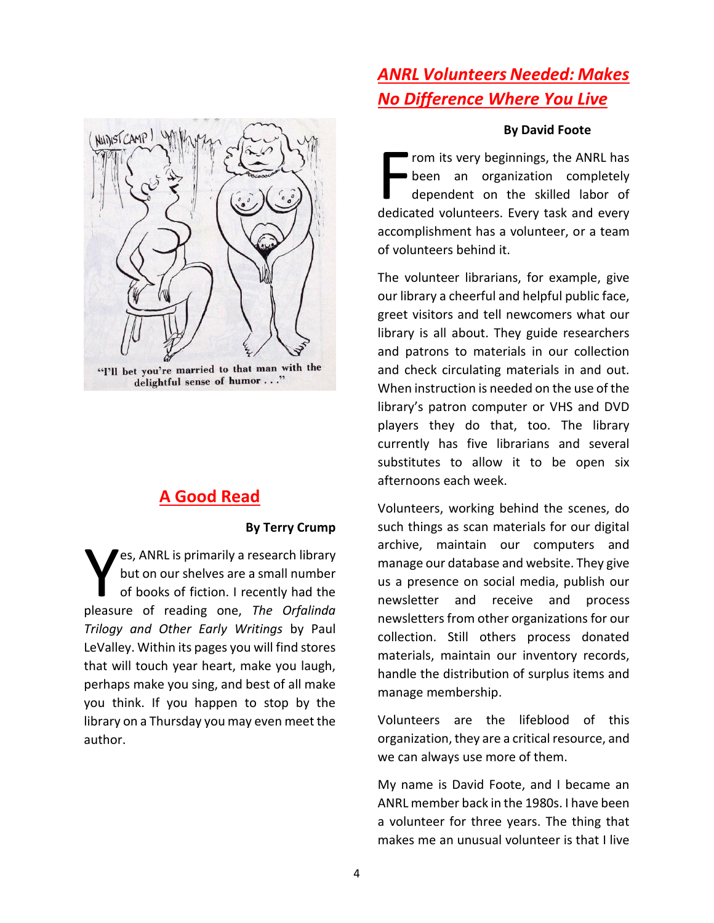

## **A Good Read**

#### **By Terry Crump**

es, ANRL is primarily a research library but on our shelves are a small number of books of fiction. I recently had the **Pleasure of reading one,** *The Orfalinda* pleasure of reading one, *The Orfalinda Trilogy and Other Early Writings* by Paul LeValley. Within its pages you will find stores that will touch year heart, make you laugh, perhaps make you sing, and best of all make you think. If you happen to stop by the library on a Thursday you may even meet the author.

# *ANRL Volunteers Needed: Makes No Difference Where You Live*

#### **By David Foote**

rom its very beginnings, the ANRL has been an organization completely dependent on the skilled labor of From its very beginnings, the ANRL has<br>been an organization completely<br>dependent on the skilled labor of<br>dedicated volunteers. Every task and every accomplishment has a volunteer, or a team of volunteers behind it.

The volunteer librarians, for example, give our library a cheerful and helpful public face, greet visitors and tell newcomers what our library is all about. They guide researchers and patrons to materials in our collection and check circulating materials in and out. When instruction is needed on the use of the library's patron computer or VHS and DVD players they do that, too. The library currently has five librarians and several substitutes to allow it to be open six afternoons each week.

Volunteers, working behind the scenes, do such things as scan materials for our digital archive, maintain our computers and manage our database and website. They give us a presence on social media, publish our newsletter and receive and process newsletters from other organizations for our collection. Still others process donated materials, maintain our inventory records, handle the distribution of surplus items and manage membership.

Volunteers are the lifeblood of this organization, they are a critical resource, and we can always use more of them.

My name is David Foote, and I became an ANRL member back in the 1980s. I have been a volunteer for three years. The thing that makes me an unusual volunteer is that I live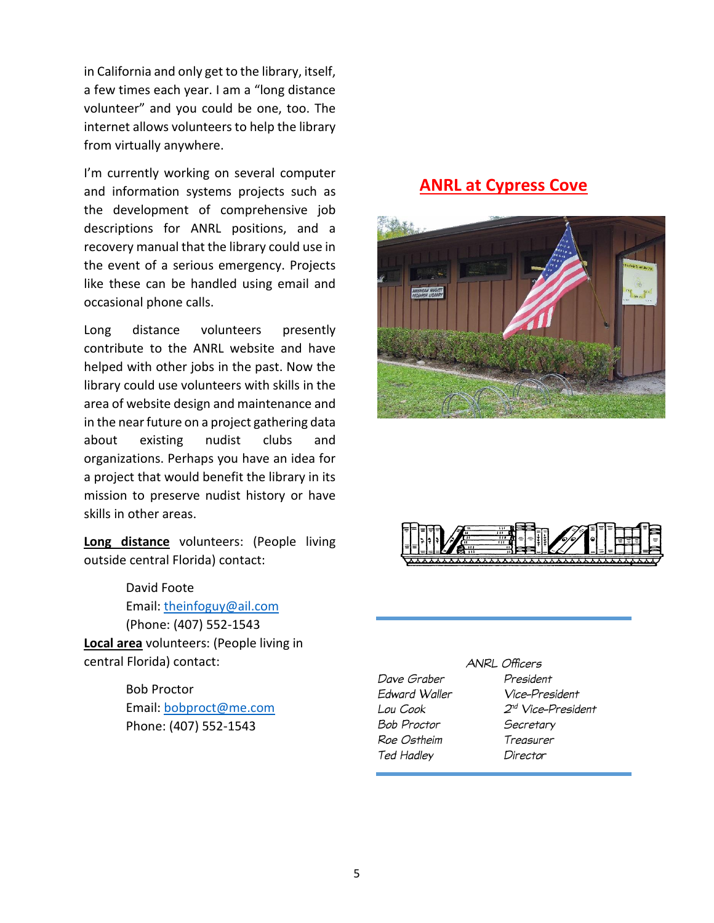in California and only get to the library, itself, a few times each year. I am a "long distance volunteer" and you could be one, too. The internet allows volunteers to help the library from virtually anywhere.

I'm currently working on several computer and information systems projects such as the development of comprehensive job descriptions for ANRL positions, and a recovery manual that the library could use in the event of a serious emergency. Projects like these can be handled using email and occasional phone calls.

Long distance volunteers presently contribute to the ANRL website and have helped with other jobs in the past. Now the library could use volunteers with skills in the area of website design and maintenance and in the near future on a project gathering data about existing nudist clubs and organizations. Perhaps you have an idea for a project that would benefit the library in its mission to preserve nudist history or have skills in other areas.

**Long distance** volunteers: (People living outside central Florida) contact:

David Foote Email: [theinfoguy@ail.com](mailto:theinfoguy@ail.com) (Phone: (407) 552-1543 **Local area** volunteers: (People living in central Florida) contact:

> Bob Proctor Email: [bobproct@me.com](mailto:bobproct@me.com) Phone: (407) 552-1543

## **ANRL at Cypress Cove**





|               | ANI |
|---------------|-----|
| Dave Graber   |     |
| Edward Waller |     |
| Lou Cook      |     |
| Bob Proctor   |     |
| Roe Ostheim   |     |
| Ted Hadley    |     |
|               |     |

#### RL Officers

President Vice-President  $2^{nd}$  Vice-President Secretary Treasurer Director